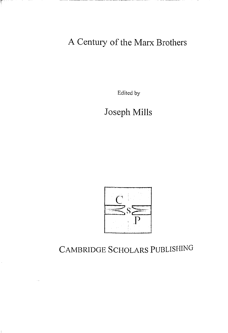A Century of the Marx Brothers

T

Ť.

Edited by

Joseph Mills



CAMBRIDGE SCHOLARS PUBLISHING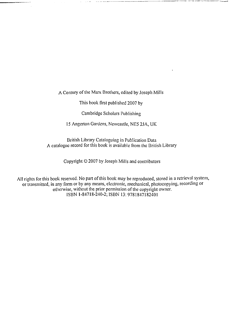A Century of the Marx Brothers, edited by Joseph Mills

This book first published 2007 by

Cambridge Scholars Publishing

15 Angerton Gardens, Newcastle, NE5 2.JA, UK

British Library Cataloguing in Publication Data A catalogue record for this book is available from the British Library

Copyright  $\odot$  2007 by Joseph Mills and contributors

All rights for this book reserved. No part of this book may be reproduced, stored in a retrieval system, or transmitted, in any form or by any means, electronic, mechanical, photocopying, recording or otherwise, without the prior permission of the copyright owner. ISBN 1-84718-240-2; ISBN 13: 9781847182401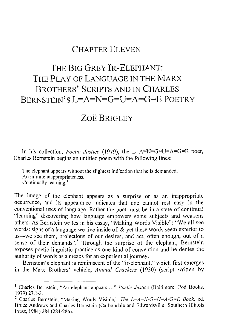## CHAPTER ELEVEN

# THE BIG GREY IR-ELEPHANT: THE PLAY OF LANGUAGE IN THE MARX BROTHERS' SCRIPTS AND IN CHARLES BERNSTEIN'S  $L=A=N=G=[J=A=G=F$  POETRY

## ZOË BRIGLEY

In his collection, *Poetic Justice* (1979), the L=A=N=G=U=A=G=E poet, Charles Bernstein begins an untitled poem with the following lines:

The elephant appears without the slightest indication that he is demanded. An infinite inappropriateness. Continually learning.'

The image of the elephant appears as a surprise or as an inappropriate occurrence, and its appearance indicates that one cannot rest easy in the conventional uses of language. Rather the poet must be in a state of continual "learning" discovering how language empowers some subjects and weakens others. As Bernstein writes in his essay, "Making Words Visible": "We all see words: signs of a language we live inside of. & yet these words seem exterior to us-we see them, projections of our desires, and act, often enough, out of a sense of their demands".<sup>2</sup> Through the surprise of the elephant, Bernstein exposes poetic linguistic practice as one kind of convention and he denies the authority of words as a means for an experiential journey.

Bernstein's elephant is reminiscent of the "ir-elephant," which first emerges in the Marx Brothers' vehicle, *Animal Crackers* (1930) (script written by

<sup>&</sup>lt;sup>1</sup> Charles Bernstein, "An elephant appears...," *Poetic Justice* (Baltimore: Pod Books, 1979) 27.1-3.

<sup>&</sup>lt;sup>2</sup> Charles Bernstein, "Making Words Visible," *The L=A=N-G=U=A-G=E Book*, ed. Bruce Andrews and Charles Bernstein (Carbondale and Edwardsville: Southern Illinois Press, 1984) 284 (284-286).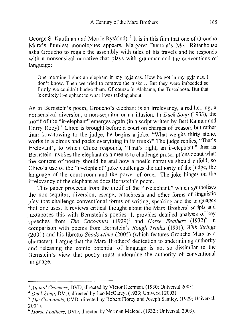George S. Kaufman and Morrie Ryskind).<sup>3</sup> It is in this film that one of Groucho Marx's funniest monologues appears. Margaret Dumont's Mrs. Rittenhouse asks Groucho to regale the assembly with tales of his travels and he responds with a nonsensical narrative that plays with grammar and the conventions of language:

One morning I shot an elephant in my pyjamas. How he got in my pyjamas, I don't know. Then we tried to remove the tusks ... But they were imbedded so firmly we couldn't budge them. Of course in Alabama, the Tuscaloosa. But that is entirely ir-elephant to what I was talking about.

As in Bernstein's poem, Groucho's elephant is an irrelevancy, a red herring, a nonsensical diversion, a non-sequitur or an illusion. In *Duck Soup* (1933), the motif of the "ir-elephant" emerges again (in a script written by Bert Kalmar and Harry Ruby).<sup>4</sup> Chico is brought before a court on charges of treason, but rather than kow-towing to the judge, he begins a joke: "What weighs thirty stone, works in a circus and packs everything in its trunk?" The judge replies, "That's irrelevant", to which Chico responds, "That's right, an ir-elephant." Just as Bernstein invokes the elephant as a means to challenge proscriptions about what the content of poetry should be and how a poetic narrative should unfold, so Chico's use of the "ir-elephant" joke challenges the authority of the judge, the language of the court-room and the power of order. The joke hinges on the irrelevancy of the elephant as does Bernstein's poem.

This paper proceeds from the motif of the "ir-elephant," which symbolises the non-sequitur, diversion, escape, catachresis and other forms of linguistic play that challenge conventional forms of writing, speaking and the languages that one uses. It reviews critical thought about the Marx Brothers' scripts and juxtaposes this with Bernstein's poetics. It provides detailed analysis of key speeches from *The Cocoanuts* (1929)<sup>5</sup> and *Horse Feathers* (1932)<sup>6</sup> in comparison with poems from Bernstein's *Rough Trades* (1991), *With Strings*  (200 I) and his libretto *Shadowtime* (2005) (which features Groucho Marx as a character). I argue that the Marx Brothers' dedication to undermining authority and releasing the comic potential of language is not so dissimilar to the Bernstein's view that poetry must undermine the authority of conventional language.

<sup>&</sup>lt;sup>3</sup> Animal Crackers, DVD, directed by Victor Heerman. (1930; Universal 2003).<br><sup>4</sup> Duck Soup, DVD, directed by Leo McCarey. (1933; Universal 2003).<br><sup>5</sup> The Cocoanuts, DVD, directed by Robert Florey and Joseph Santley. (1929 2004).

<sup>6</sup> *Horse Feathers,* DVD, directed by Norman Mcleod. ( 1932.: Universal, 2003).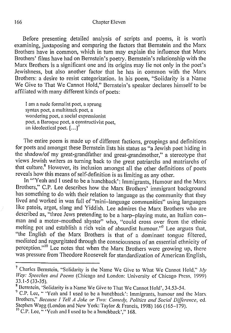166 Chapter Eleven

Before presenting detailed analysis of scripts and poems, it is worth examining, juxtaposing and comparing the factors that Bernstein and the Marx Brothers have in common, which in turn may explain the influence that Marx Brothers' films have had on Bernstein's poetry. Bernstein's relationship with the Marx Brothers is a significant one and its origins may lie not only in the poet's Jewishness, but also another factor that he has in common with the Marx Brothers: a desire to resist categorization. In his poem, "Solidarity is a Name We Give to That We Cannot Hold," Bernstein's speaker declares himself to be affiliated with many different kinds of poets:

1 am a nude formalist poet, a sprung syntax poet, a multitrack poet, a wondering poet, a social expressionist poet, a Baroque poet, a constructivist poet, an ideolectical poet.  $[\dots]^7$ 

The entire poem is made up of different factions, groupings and definitions for poets and amongst these Bernstein lists his status as "a Jewish poet hiding in the shadow/of my great-grandfather and great-grandmother," a stereotype that views Jewish writers as turning back to the great patriarchs and matriarchs of that culture.<sup>8</sup> However, its inclusion amongst all the other definitions of poets reveals how this means of self-definition is as limiting as any other.

In "'Yeah and I used to be a hunchback': Immigrants, Humour and the Marx Brothers," C.P. Lee describes how the Marx Brothers' immigrant background has something to do with their relation to language as the community that they lived and worked in was full of "mini-language communities" using languages like patois, argot, slang and Yiddish. Lee admires the Marx Brothers who are described as, "three Jews pretending to be a harp-playing mute, an Italian conman and a motor-mouthed shyster" who, "could cross over from the ethnic melting pot and establish a rich vein of absurdist humour."<sup>9</sup> Lee argues that, "the English of the Marx Brothers is that of a dominant tongue filtered, mediated and regurgitated through the consciousness of an essential ethnicity of perception."<sup>10</sup> Lee notes that when the Marx Brothers were growing up, there was pressure from Theodore Roosevelt for standardization of American English,

<sup>&</sup>lt;sup>7</sup> Charles Bernstein, "Solidarity is the Name We Give to What We Cannot Hold,"  $My$ *Way: Speeches and Poems* (Chicago and London: University of Chicago Press, 1999)<br>33.1-5 (33-35).

<sup>&</sup>lt;sup>8</sup> Bernstein, 'Solidarity is a Name We Give to That We Cannot Hold', 34.53-54. <sup>9</sup> C.P. Lee, " 'Yeah and I used to be a hunchback': Immigrants, humour and the Marx Brothers," *Because I Tell A Joke or Two: Comedy, Politics and Social Difference,* ed. Stephen Wagg (London and New York: Taylor & Francis, 1998) 166 (165-179).

 $^{10}$  C.P. Lee,  $\sqrt{Y}$  ah and I used to be a hunchback'," 168.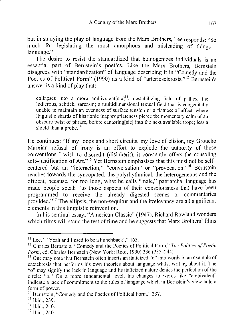but in studying the play of language from the Marx Brothers, Lee responds: "So much for legislating the most amorphous and misleading of thingslanguage."<sup>11</sup>

The desire to resist the standardized that homogenizes individuals is an essential part of Bernstein's poetics. Like the Marx Brothers, Bernstein disagrees with "standardization" of language describing it in "Comedy and the Poetics of Political Form" (1990) as a kind of "arteriosclerosis."<sup>12</sup> Bernstein's answer is a kind of play that:

collapses into a more ambivolent  $[sic]$ <sup>13</sup>, destabilizing field of pathos, the ludicrous, schtick, sarcasm; a multidimensional textual field that is congenitally unable to maintain an evenness of surface tension or a flatness of affect, where linguistic shards of histrionic inappropriateness pierce the momentary calm of an obscure twist of phrase, before cantoring[sic] into the next available trope; less a shield than a probe.<sup>14</sup>

He continues: "If my loops and short circuits, my love of elision, my Groucho Marxian refusal of irony is an effort to explode the authority of those conventions I wish to discredit (disinherit), it constantly offers the consoling self-justification of Art."<sup>15</sup> Yet Bernstein emphasises that this must not be selfcentered but an "interaction," "conversation" or "provocation."<sup>16</sup> Bernstein reaches towards the syncopated, the polyrhythmical, the heterogeneous and the offbeat, because, for too long, what he calls "male," patriarchal language has made people speak "to those aspects of their consciousness that have been programmed to receive the already digested scenes or commentaries provided."<sup>17</sup> The ellipsis, the non-sequitur and the irrelevancy are all significant elements in this linguistic reinvention.

In his seminal essay, "American Classic" (1947), Richard Rowland wonders which films will stand the test of time and he suggests that Marx Brothers' films

<sup>&</sup>lt;sup>11</sup> Lee, " 'Yeah and I used to be a hunchback'," 165.<br><sup>12</sup> Charles Bernstein, "Comedy and the Poetics of Political Form," *The Politics of Poetic Form*, ed. Charles Bernstein (New York: Roof, 1990) 236 (235–244).

<sup>&</sup>lt;sup>13</sup> One may note that Bernstein often inserts an italicized "o" into words in an example of catachrcsis that performs his own theories about language whilst writing about it. The "o" may signify the lack in language and its italicized nature denies the perfection of the circle: *"o."* On a more fundamental level, his changes to words like "ambivalent" indicate a lack of commitment to the rules of language which in Bernstein's view hold a form of power.

<sup>&</sup>lt;sup>14</sup> Bernstein, "Comedy and the Poetics of Political Form," 237.<br><sup>15</sup> Ibid., 239.<br><sup>16</sup> Ibid., 240.<br><sup>17</sup> Ibid., 240.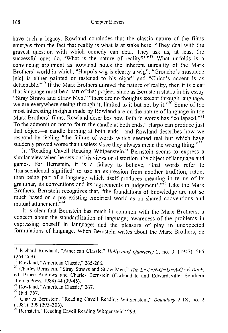#### 168 Chapter Eleven

have such a legacy. Rowland concludes that the classic nature of the films emerges from the fact that reality is what is at stake here: "They deal with the gravest question with which comedy can deal. They ask us, at least the successful ones do, 'What is the nature of reality?'."<sup>18</sup> What unfolds is a convincing argument as Rowland notes the inherent unreality of the Marx Brothers' world in which, "Harpo's wig is clearly a wig"; "Groucho's mustache [sic] is either painted or fastened to his cigar" and "Chico's accent is as detachable."<sup>19</sup> If the Marx Brothers unravel the nature of reality, then it is clear that language must be a part of that project, since as Bernstein states in his essay "Stray Straws and Straw Men," "there are no thoughts except through language, we are everywhere seeing through it, limited to it but not by it."<sup>20</sup> Some of the most interesting insights made by Rowland are on the nature of language in the Marx Brothers' films. Rowland describes how faith in words has "collapsed."<sup>21</sup> To the admonition not to "burn the candle at both ends," Harpo can produce just that object-a candle burning at both ends-and Rowland describes how we respond by feeling "the failure of words which seemed real but which have suddenly proved worse than useless since they always mean the wrong thing." $22$ 

In "Reading Cavell Reading Wittgenstein," Bernstein seems to express a similar view when he sets out his views on distortion, the object of language and games. For Bernstein, it is a fallacy to believe, "that words refer to 'transcendental signified' to use an expression from another tradition, rather than being part of a language which itself produces meaning in terms of its grammar, its conventions and its 'agreements in judgement'."<sup>33</sup> Like the Marx Brothers, Bernstein recognizes that, "the foundations of knowledge are not so much based on a pre-existing empirical world as on shared conventions and mutual attunement."<sup>24</sup>

It is clear that Bernstein has much in common with the Marx Brothers: a concern about the standardization of language; awareness of the problems in expressing oneself in language; and the pleasure of play in unexpected formulations of language. When Bernstein writes about the Marx Brothers, he

<sup>18</sup> Richard Rowland, "American Classic," *Hollywood Quarterly* 2, no. 3. ( 1947): 265 (264-269).

<sup>&</sup>lt;sup>19</sup> Rowland, "American Classic," 265-266.

<sup>&</sup>lt;sup>20</sup> Charles Bernstein, "Stray Straws and Straw Men," *The L=A=N-G=U=A-G=E Book*, ed. Bruce Andrews and Charles Bernstein (Carbondale and Edwardsville: Southern Illinois Press, 1984) 44 (39-45).

<sup>&</sup>lt;sup>21</sup> Rowland, "American Classic," 267.<br><sup>22</sup> Ibid, 267.<br><sup>23</sup> Charles Bernstein, "Reading Cavell Reading Wittgenstein," *Boundary 2* 1X, no. 2<br>(1981): 299 (295–306).

<sup>&</sup>lt;sup>24</sup> Bernstein, "Reading Cavell Reading Wittgenstein" 299.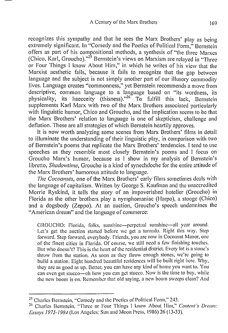recognizes this sympathy and that he sees the Marx Brothers' play as being extremely significant. In "Comedy and the Poetics of Political Form," Bernstein offers as part of his compositional methods, a synthesis of "the three Marxes (Chico, Karl, Groucho)."25 Bernstein's views on Marxism are relayed in "Three or Four Things I know About Him," in which he writes of his view that the Marxist aesthetic fails, because it fails to recognize that the gap between language and the subject is not simply another part of our illusory commodity lives. Language creates "commonness," yet Bernstein recommends a move from descriptive, common language to a language based on "its wordness, its physicality, its haecceity (thisness)."26 To fulfill this lack, Bernstein supplements Karl Marx with two of the Marx Brothers associated particularly with linguistic humor, Chico and Groucho, and the implication seems to be that the Marx Brothers' relation to language is one of skepticism, challenge and deflation. These are all strategies of which Bernstein heartily approves.

It is now worth analyzing some scenes from Marx Brothers' films in detail to illuminate the understanding of their linguistic play, in comparison with two of Bernstein's poems that replicate the Marx Brothers' tendencies. I tend to use speeches as they resemble most closely Bernstein's poems and I focus on Groucho Marx's humor, because as I show in my analysis of Bernstein's libretto, *Shadowtime,* Groucho is a kind of synechdoche for the entire attitude of the Marx Brothers' humorous attitude to language.

*The Cocoanuts,* one of the Marx Brothers' early films sometimes deals with the language of capitalism. Written by George S. Kaufman and the unaccredited Morrie Ryskind, it tells the story of an impoverished hotelier (Groucho) in Florida as the other brothers play a nymphomaniac (Harpo), a stooge (Chico) and a dogsbody (Zeppo). At an auction, Groucho's speech undermines the "American dream" and the language of commerce:

GROUCHO: Florida, folks, sunshine-perpetual sunshine-all year around. Let's get the auction started before we get a tornado. Right this way. Step forward. Step forward, everybody. Priends, you are now in Cocoanut Manor, one of the finest cities in Florida. Of course, we still need a few finishing touches. But who doesn't? This is the heart of the residential district. Every lot is a stone's throw from the station. As soon as they throw enough stones, we're going to build a station. Eight hundred beautiful residences will be built right here. Why, they arc as good as up. Better, you can have any kind of home you want to. You can even get stucco-oh how you can get stucco. Now is the time to buy, while the new boom is on. Remember that old saying, a new boom sweeps clean? And

<sup>&</sup>lt;sup>25</sup> Charles Bernstein, "Comedy and the Poetics of Political Form," 243.<br><sup>26</sup> Charles Bernstein, "Three or Four Things 1 know About Ilim," *Content's Dream: Essays 1975-1984* (Los Angeles: Sun and Moon Press, 1986) 26 (13-33).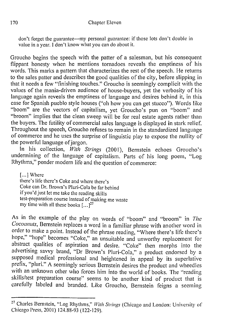don't forget the guarantee---my personal guarantee: if those lots don't double in value in a year. I don't know what you can do about it.

Groucho begins the speech with the patter of a salesman, but his consequent flippant honesty when he mentions tornadoes reveals the emptiness of his words. This marks a pattern that characterizes the rest of the speech. He returns to the sales patter and describes the good qualities of the city, before slipping in that it needs a few "finishing touches." Groucho is seemingly complicit with the values of the mania-driven audience of house-buyers, yet the verbosity of his language again reveals the emptiness of language and desires behind it, in this case for Spanish pueblo style houses ("oh how you can get stucco"). Words like "boom" are the vectors of capitalism, yet Groucho's pun on "boom" and "broom" implies that the clean sweep will be for real estate agents rather than the buyers. The futility of commercial sales language is displayed in stark relief. Throughout the speech, Groucho refuses to remain in the standardized language of commerce and he uses the surprise of linguistic play to expose the nullity of the powerful language of jargon.

In his collection, With Strings (2001), Bernstein echoes Groucho's undermining of the language of capitalism. Parts of his long poem, "Log Rhythms," ponder modern life and the question of commerce:

[...] Where there's life there's Coke and where there's Coke can Dr. Brown's Pluri-Cola be far behind if you'd just let me take the reading skills test-preparation course instead of making me waste my time with all these books  $[...]^{27}$ 

As in the example of the play on words of "boom" and "broom" in *The Cocoanuts,* Bernstein replaces a word in a familiar phrase with another word in order to make a point. Instead of the phrase reading, "Where there's life there's hope," "hope" becomes "Coke," an unsuitable and unworthy replacement for abstract qualities of aspiration and desire. "Coke" then morphs into the advertising savvy brand, "Dr Brown's Pluri-Cola," a product endorsed by a supposed medical professional and heightened in appeal by its superlative prefix, "pluri." A seemingly serious Bernstein desires the product and wheedles with an unknown other who forces him into the world of books. The "reading skills/test preparation course" seems to be another kind of product that is carefully labeled and branded. Like Groucho, Bernstein feigns a seeming

<sup>27</sup> Charles Bernstein, "Log Rhythms," *With Strings* (Chicago and London: University of Chicago Press, 2001) 124.88-93 (122-129).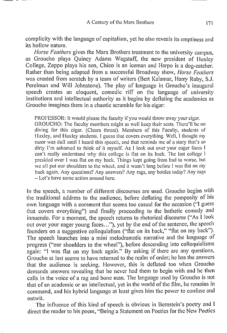complicity with the language of capitalism, yet he also reveals its emptiness and its hollow nature.

*Horse Feathers* gives the Marx Brothers treatment to the university campus, as Groucho plays Quincy Adams Wagstaff, the new president of Huxley College, Zeppo plays his son, Chico is an iceman and Harpo is a dog-catcher. Rather than being adapted from a successful Broadway show, *Horse Feathers*  was created from scratch by a team of writers (Bert Kalamar, Harry Ruby, S.J. Perelman and Will Johnstone). The play of language in Groucho's inaugural speech creates an eloquent, comedic riff on the language of university institutions and intellectual authority as it begins by deflating the academics as Groucho imagines them in a chaotic scramble for his cigar:

PROFESSOR: It would please the faculty if you would throw away your cigar. GROUCHO: The faculty members might as well keep their scats. There'll be no diving for this cigar. (Clears throat). Members of this Faculty, students of Huxley, and Huxley students. I guess that covers everything. Well, I thought my razor was dull until I heard this speech, and that reminds me of a story that's so dirty I'm ashamed to think of it myself. As I look out over your eager faces I can't really understand why this college is flat on its back. The last college I presided over I was flat on my back. Things kept going from bad to worse, but we all put our shoulders to the wheel, and it wasn't long before I was flat on my back again. Any questions? Any answers? Any rags, any bottles today'/ Any rags - Let's have some action around here.

In the speech, a number of different discourses are used. Groucho begins with the traditional address to the audience, before deflating the pomposity of his own language with a comment that seems too casual for the occasion ("I guess that covers everything") and finally proceeding to the bathetic comedy and innuendo. For a moment, the speech returns to rhetorical discourse ("As I look out over your eager young faces..."), yet by the end of the sentence, the speech founders on a suggestive colloquialism ("flat on its back," "flat on my back"). The speech launches into a mini melodramatic narrative and the language of progress ("our shoulders to the wheel"), before descending into colloquialisms again: "I was flat on my back again." By asking if there are any questions, Groucho at last seems to have returned to the realm of order; he has the answers that the audience is seeking. However, this is deflated too when Groucho demands answers revealing that he never had them to begin with and he then calls in the voice of a rag and bone man. The language used by Groucho is not that of an academic or an intellectual, yet in the world of the film, he remains in command, and his hybrid language at least gives him the power to confuse and outwit.

The influence of this kind of speech is obvious in Bernstein's poetry and I direct the reader to his poem, "Being a Statement on Poetics for the New Poetics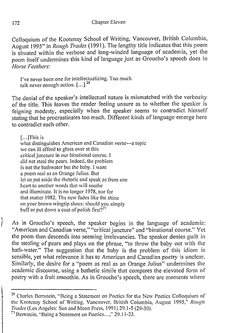Colloquium of the Kootenay School of Writing, Vancouver, British Columbia, August 1995" in *Rough Trades* (1991 ). The lengthy title indicates that this poem is situated within the verbose and long-winded language of academia, yet the poem itself undermines this kind of language just as Groucho's speech does in *Horse Feathers:* 

I've never been one for intellectualizing. Too much talk never enough action.  $[...]^{28}$ 

The denial of the speaker's intellectual nature is mismatched with the verbosity of the title. This leaves the reader feeling unsure as to whether the speaker is feigning modesty, especially when the speaker seems to contradict himself stating that he procrastinates too much. Different kinds of language emerge here to contradict each other.

[ ... ]This is

what distinguishes American and Canadian verse-a topic we can ill afford **to** gloss over at this critical juncture in our binational course. I did not steal the pears. Indeed, the problem is not the bathwater but the baby. I want a poem real as an Orange Julius. Out let us put aside the rhetoric and speak as from one heart to another words that will soothe and illuminate. It is no longer 1978, nor for that matter 1982. The new fades like the shine on your brown wingtip shoes: should you simply buff or put down a coat of polish first?<sup>29</sup>

As in Groucho's speech, the speaker begins in the language of academia: "American and Canadian verse," "critical juncture" and "binational course." Yet the poem then descends into seeming irrelevancies. The speaker denies guilt in the stealing of pears and plays on the phrase, "to throw the baby out with the bath-water." The suggestion that the baby is the problem of this idiom is sensible, yet what relevance it has to American and Canadian poetry is unclear. Similarly, the desire for a "poem as real as an Orange Julius" undermines the academic discourse, using a bathetic simile that compares the elevated form of poetry with a fruit smoothie. As in Groucho's speech, there are moments where

<sup>&</sup>lt;sup>28</sup> Charles Bernstein, "Being a Statement on Poetics for the New Poetics Colloquium of the Kootenay School of Writing, Vancouver, British Columbia, August 1995," *Rough Trades* (Los Angeles: Sun and Moon Press, 199 I) 29.1-5 (29-30).

<sup>&</sup>lt;sup>29</sup> Bernstein, "Being a Statement on Poetics ...," 29.11-23.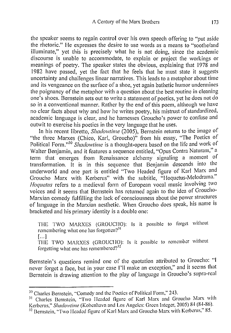the speaker seems to regain control over his own speech offering to "put aside the rhetoric." He expresses the desire to use words as a means to "soothe/and illuminate," yet this is precisely what he is not doing, since the academic discourse is unable to accommodate, to explain or project the workings or meanings of poetry. The speaker states the obvious, explaining that 1978 and 1982 have passed, yet the fact that he feels that he must state it suggests uncertainty and challenges linear narratives. This leads to a metaphor about time and its vengeance on the surface of a shoe, yet again bathetic humor undermines the poignancy of the metaphor with a question about the best routine in cleaning one's shoes. Bernstein sets out to write a statement of poetics, yet he does not do so in a conventional manner. Rather by the end of this poem, although we have no clear facts about why and how he writes poetry, his mistrust of standardized, academic language is clear, and he harnesses Groucho's power to confuse and outwit to exercise his poetics in the very language that he uses.

In his recent libretto, *Shadowtime* (2005), Bernstein returns to the image of "the three Marxes (Chico, Karl, Groucho)" from his essay, "The Poetics of Political Form."30 *Shadowtime* is a thought-opera based on the life and work of Walter Benjamin, and it features a sequence entitled, "Opus Contra Naturam," a term that emerges from Renaissance alchemy signaling a moment of transformation. It is in this sequence that Benjamin descends into the underworld and one part is entitled "Two Headed figure of Karl Marx and Groucho Marx with Kerberus" with the subtitle, "Hoquetus-Melodrama." *Hoquetus* refers to a medieval form of European vocal music involving two voices and it seems that Bernstein has returned again to the idea of Groucho-Marxian comedy fulfilling the lack of consciousness about the power structures of language in the Marxian aesthetic. When Groucho does speak, his name is bracketed and his primary identity is a double one:

THE TWO MARXES (GROUCHO): Is it possible to forget without remembering what one has forgotten $?$ <sup>31</sup>  $[$ ...  $]$ 

THE TWO MARXES (GROUCHO): Is it possible to remember without forgetting what one has remembered? $3^{32}$ 

Bernstein's questions remind one of the quotation attributed to Groucho: ''I never forget a face, but in your case I 'II make an exception," and it seems that Bernstein is drawing attention to the play of language in Groucho's supra-real

<sup>&</sup>lt;sup>30</sup> Charles Bernstein, "Comedy and the Poetics of Political Form," 243.

<sup>&</sup>lt;sup>31</sup> Charles Bernstein, "Two Headed figure of Karl Marx and Groucho Marx with Kerberus," *Shadowtime* (Kobenhavn and Los Angeles: Green Integer, 2005) 84 (84-86).

<sup>&</sup>lt;sup>32</sup> Bernstein, "Two Headed figure of Karl Marx and Groucho Marx with Kerberus," 85.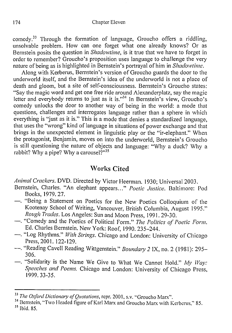#### 174 Chapter Eleven

comedy. 33 Through the formation of language, Groucho offers a riddling, unsolvable problem. How can one forget what one already knows? Or as Bernstein posits the question in *Shadowtime*, is it true that we have to forget in order to remember? Groucho's proposition uses language to challenge the very nature of being as is highlighted in Bernstein's portrayal of him in *Shadowtime.* 

Along with Kerberus, Bernstein's version of Groucho guards the door to the underworld itself, and the Bernstein's idea of the underworld is not a place of death and gloom, but a site of self-consciousness. Bernstein's Groucho states: "Say the magic word and get one free ride around Alexanderplatz, say the magic letter and everybody returns to just as it is."<sup>34</sup> In Bernstein's view, Groucho's comedy unlocks the door to another way of being in the world: a mode that questions, challenges and interrogates language rather than a sphere in which everything is 'just as it is." This is a mode that denies a standardized language, that uses the "wrong" kind of language in situations of power exchange and that brings in the unexpected element in linguistic play or the "ir-elephant." When the protagonist, Benjamin, moves on into the underworld, Bernstein's Groucho is still questioning the nature of objects and language: "Why a duck? Why a rabbit? Why a pipe? Why a carousel?" $35$ 

### **Works Cited**

*Animal Crackers.* **DVD.** Directed by Victor Heerman. 1930; Universal 2003.

- Bernstein, Charles. "An elephant appears ... " *Poetic Justice.* Baltimore: Pod Books, 1979. 27.
- "Being a Statement on Poetics for the New Poetics Colloquium of the Kootenay School of Writing, Vancouver, British Columbia, August 1995." *Rough 1h1des.* Los Angeles: Sun and Moon Press, 1991. 29-30.
- -. "Comedy and the Poetics of Political Form." *The Politics of Poetic Form.*  Ed. Charles Bernstein. New York: Roof, 1990. 235-244.
- -. "Log Rhythms." *With Strings.* Chicago and London: University of Chicago Press, 2001. 122-129.
- -. "Reading Cavell Reading Wittgenstein." *Boundary 2 IX*, no. 2 (1981): 295-306.
- -. "Solidarity is the Name We Give to What We Cannot Hold." My Way: *Speeches and Poems.* Chicago and London: University of Chicago Press, 1999. 33-35.

<sup>&</sup>lt;sup>33</sup> *The Oxford Dictionary of Quotations*, repr. 2001, s.v. "Groucho Marx".<br><sup>34</sup> Bernstein, "Two Headed figure of Karl Marx and Groucho Marx with Kerberus," 85.<br><sup>35</sup> Ibid. 85.